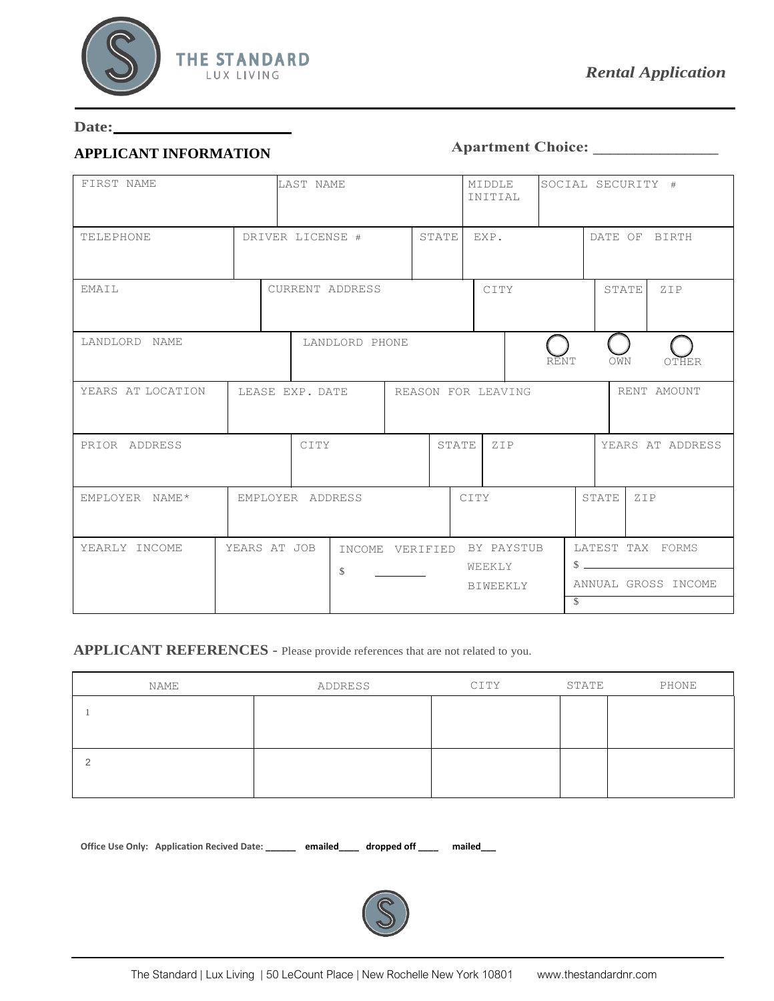

#### **Date:**

#### **APPLICANT INFORMATION**

## **Apartment Choice: \_\_\_\_\_\_\_\_\_\_\_\_\_\_\_**

| FIRST NAME        | LAST NAME        |                            |  |              | MIDDLE<br>INITIAL  |      | SOCIAL SECURITY #        |              |                     |
|-------------------|------------------|----------------------------|--|--------------|--------------------|------|--------------------------|--------------|---------------------|
| TELEPHONE         | DRIVER LICENSE # |                            |  | <b>STATE</b> | EXP.               |      |                          |              | DATE OF BIRTH       |
| EMAIL             | CURRENT ADDRESS  |                            |  |              | CITY               |      |                          | <b>STATE</b> | ZIP                 |
| LANDLORD NAME     |                  | LANDLORD PHONE             |  |              |                    | RĒNT | OWN                      |              | OTHER               |
| YEARS AT LOCATION | LEASE EXP. DATE  |                            |  |              | REASON FOR LEAVING |      |                          |              | RENT AMOUNT         |
| PRIOR ADDRESS     | CITY             |                            |  |              | STATE ZIP          |      |                          |              | YEARS AT ADDRESS    |
| EMPLOYER NAME*    | EMPLOYER ADDRESS |                            |  |              | CITY               |      | <b>STATE</b>             | ZIP          |                     |
| YEARLY INCOME     | YEARS AT JOB     | INCOME VERIFIED BY PAYSTUB |  |              | WEEKLY             |      | $\frac{1}{2}$            |              | LATEST TAX FORMS    |
|                   |                  | \$                         |  |              | BIWEEKLY           |      | $\overline{\mathcal{S}}$ |              | ANNUAL GROSS INCOME |

## **APPLICANT REFERENCES** - Please provide references that are not related to you.

| NAME | ADDRESS | CITY | STATE | PHONE |
|------|---------|------|-------|-------|
|      |         |      |       |       |
|      |         |      |       |       |
|      |         |      |       |       |
|      |         |      |       |       |

Office Use Only: Application Recived Date: \_\_\_\_\_\_ emailed\_\_\_ dropped off \_\_\_\_ mailed\_\_

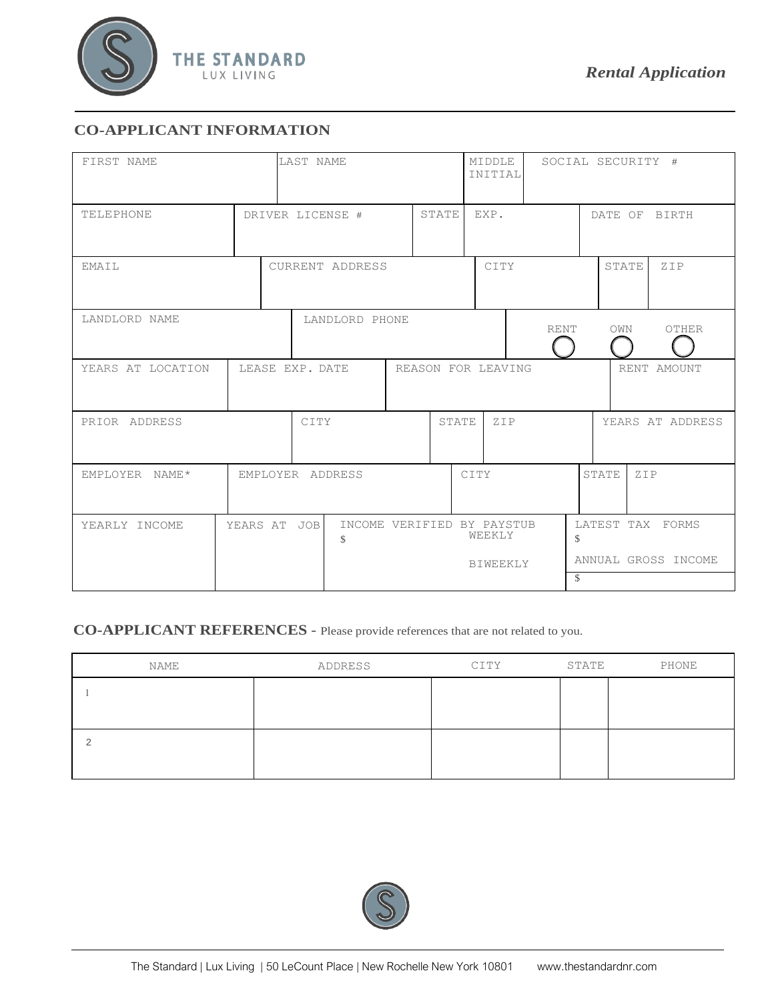

## **CO-APPLICANT INFORMATION**

| FIRST NAME        | LAST NAME       |                  |      |                                            | MIDDLE<br>INITIAL |  | SOCIAL SECURITY # |                           |             |       |       |               |                                         |
|-------------------|-----------------|------------------|------|--------------------------------------------|-------------------|--|-------------------|---------------------------|-------------|-------|-------|---------------|-----------------------------------------|
| <b>TELEPHONE</b>  |                 | DRIVER LICENSE # |      |                                            | STATE             |  | EXP.              |                           |             |       |       | DATE OF BIRTH |                                         |
| EMAIL             |                 | CURRENT ADDRESS  |      |                                            |                   |  | CITY              |                           |             | STATE |       | ZIP           |                                         |
| LANDLORD NAME     |                 |                  |      | LANDLORD PHONE                             |                   |  |                   |                           | <b>RENT</b> |       | OWN   |               | OTHER                                   |
| YEARS AT LOCATION | LEASE EXP. DATE |                  |      |                                            |                   |  |                   | REASON FOR LEAVING        |             |       |       |               | RENT AMOUNT                             |
| PRIOR ADDRESS     |                 |                  | CITY |                                            |                   |  | STATE             | ZIP                       |             |       |       |               | YEARS AT ADDRESS                        |
| EMPLOYER NAME*    |                 |                  |      | EMPLOYER ADDRESS                           |                   |  |                   | CITY                      |             |       | STATE | ZIP           |                                         |
| YEARLY INCOME     | YEARS AT JOB    |                  |      | INCOME VERIFIED BY PAYSTUB<br>$\mathbb{S}$ |                   |  |                   | WEEKLY<br><b>BIWEEKLY</b> |             | \$    |       |               | LATEST TAX FORMS<br>ANNUAL GROSS INCOME |
|                   |                 |                  |      |                                            |                   |  |                   |                           |             | \$    |       |               |                                         |

# **CO-APPLICANT REFERENCES** - Please provide references that are not related to you.

| NAME | ADDRESS | CITY | STATE | PHONE |
|------|---------|------|-------|-------|
|      |         |      |       |       |
|      |         |      |       |       |
|      |         |      |       |       |
|      |         |      |       |       |

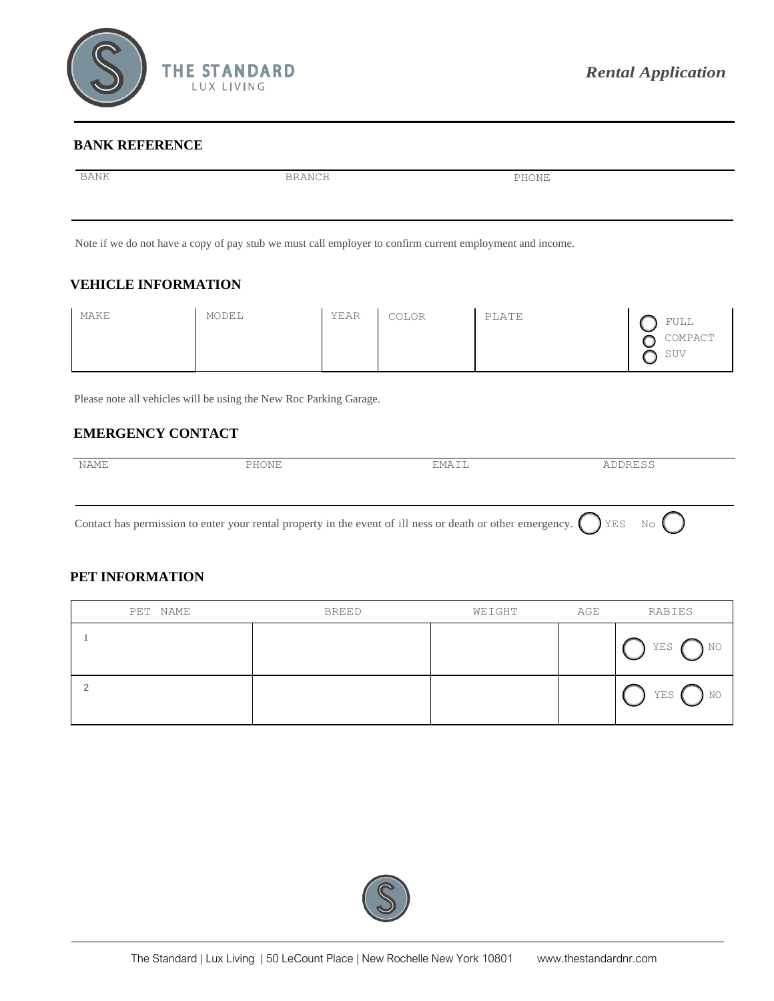

#### **BANK REFERENCE**

| BANK | BRANCH                                                                                                    | PHONE |  |
|------|-----------------------------------------------------------------------------------------------------------|-------|--|
|      |                                                                                                           |       |  |
|      | Note if we do not have a copy of pay stub we must call employer to confirm current employment and income. |       |  |

## **VEHICLE INFORMATION**

| MAKE | MODEL | YEAR | COLOR | PLATE | ∽ | FULL<br>COMPACT<br>SUV |
|------|-------|------|-------|-------|---|------------------------|
|------|-------|------|-------|-------|---|------------------------|

Please note all vehicles will be using the New Roc Parking Garage.

## **EMERGENCY CONTACT**

| NAME | PHONE | EMAIL | ADDRESS |
|------|-------|-------|---------|
|      |       |       |         |
|      |       |       |         |

Contact has permission to enter your rental property in the event of ill ness or death or other emergency.  $\bigcap$  YES No

### **PET INFORMATION**

| PET NAME | <b>BREED</b> | WEIGHT | AGE | RABIES     |
|----------|--------------|--------|-----|------------|
|          |              |        |     | NO.<br>YES |
|          |              |        |     | NO<br>YES  |

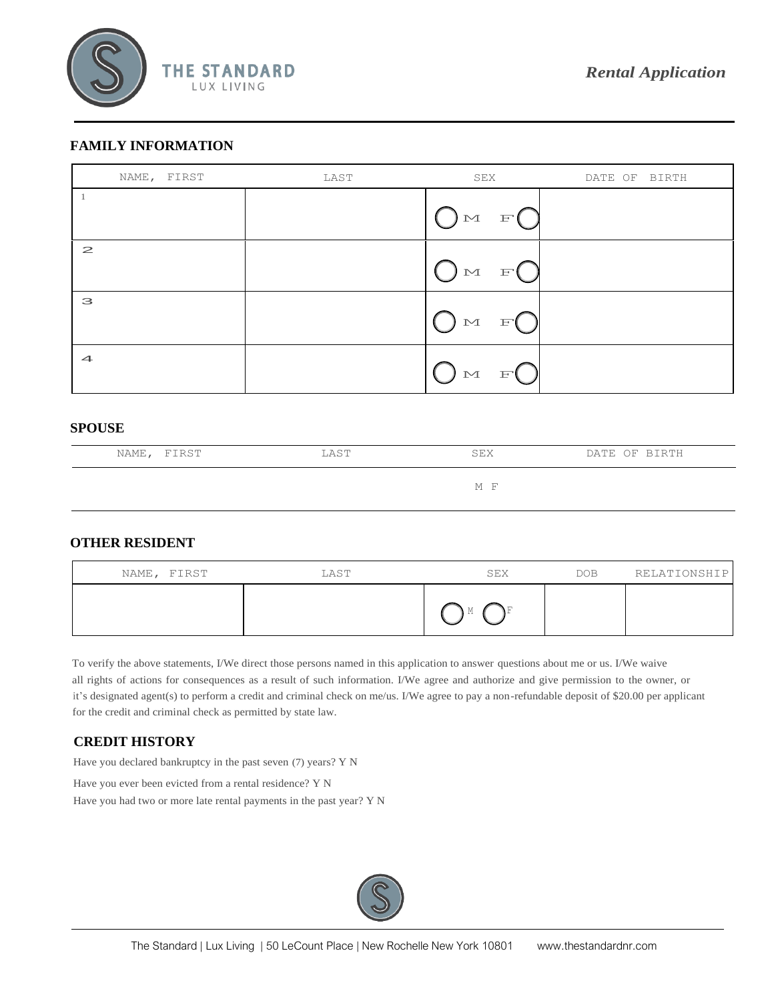

### **FAMILY INFORMATION**

| NAME, FIRST          | LAST | SEX                                                                                                                                                                                                                                                                                                                                          | DATE OF BIRTH |
|----------------------|------|----------------------------------------------------------------------------------------------------------------------------------------------------------------------------------------------------------------------------------------------------------------------------------------------------------------------------------------------|---------------|
|                      |      | $O^{\tiny{\text{M}}}\quad F$ <sup>O</sup>                                                                                                                                                                                                                                                                                                    |               |
| $\mathbf{z}$         |      | O M F C                                                                                                                                                                                                                                                                                                                                      |               |
| 3                    |      | $\begin{picture}(120,15) \put(0,0){\line(1,0){155}} \put(15,0){\line(1,0){155}} \put(15,0){\line(1,0){155}} \put(15,0){\line(1,0){155}} \put(15,0){\line(1,0){155}} \put(15,0){\line(1,0){155}} \put(15,0){\line(1,0){155}} \put(15,0){\line(1,0){155}} \put(15,0){\line(1,0){155}} \put(15,0){\line(1,0){155}} \put(15,0){\line(1,0){155}}$ |               |
| $\blacktriangleleft$ |      | $\cup$ M<br>F                                                                                                                                                                                                                                                                                                                                |               |

#### **SPOUSE**

| NAME, FIRST | LAST | SEX | DATE OF BIRTH |
|-------------|------|-----|---------------|
|             |      | M F |               |

## **OTHER RESIDENT**

| NAME, FIRST | LAST | SEX  | <b>DOB</b> | RELATIONSHIP |
|-------------|------|------|------------|--------------|
|             |      | - 11 |            |              |

To verify the above statements, I/We direct those persons named in this application to answer questions about me or us. I/We waive all rights of actions for consequences as a result of such information. I/We agree and authorize and give permission to the owner, or it's designated agent(s) to perform a credit and criminal check on me/us. I/We agree to pay a non-refundable deposit of \$20.00 per applicant for the credit and criminal check as permitted by state law.

#### **CREDIT HISTORY**

Have you declared bankruptcy in the past seven (7) years? Y N

Have you ever been evicted from a rental residence? Y N

Have you had two or more late rental payments in the past year? Y N